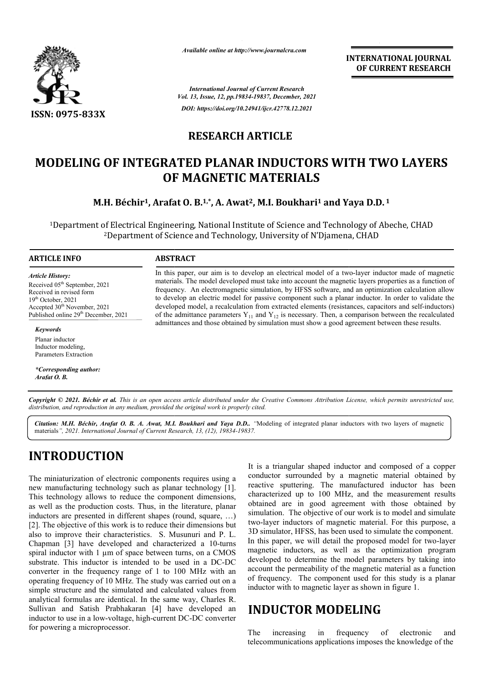

*Available online at http://www.journalcra.com*

**INTERNATIONAL JOURNAL OF CURRENT RESEARCH**

*International Journal of Current Research Vol. 13, Issue, 12, pp.19834-19837, December, 2021 DOI: https://doi.org/10.24941/ijcr.42778.12.2021*

## **RESEARCH ARTICLE**

# **MODELING OF INTEGRATED PLANAR INDUCTORS WITH TWO LAYERS INDUCTORS OF MAGNETIC MATERIALS**

### **M.H. Béchir<sup>1</sup>, Arafat O. B.<sup>1,\*</sup>, A. Awat<sup>2</sup>, M.I. Boukhari<sup>1</sup> and Yaya D.D. <sup>1</sup>**

<sup>1</sup>Department of Electrical Engineering, National Institute of Science and Technology of Abeche, CHAD 2Department of Science and Technology, University of N'Djamena, CHAD

#### **ARTICLE INFO ABSTRACT**

*Article History:* Received 05<sup>th</sup> September, 2021 Received in revised form Received in revised form  $19<sup>th</sup> October, 2021$ Accepted 30<sup>th</sup> November, 2021 Published online 29<sup>th</sup> December, 2021

#### *Keywords*

Planar inductor Inductor modeling, Parameters Extraction

*\*Corresponding author: Arafat O. B.*

In this paper, our aim is to develop an electrical model of a two-layer inductor made of magnetic materials. The model developed must take into account the magnetic layers properties as a function of frequency. An electromagnetic simulation, by HFSS software, and an optimization calculation allow to develop an electric model for passive component such a planar inductor. In order to validate the developed model, a recalculation from extracted elements (resistances, capacitors and self-inductors) of the admittance parameters  $Y_{11}$  and  $Y_{12}$  is necessary. Then, a comparison between the recalculated of the admittance parameters  $Y_{11}$  and  $Y_{12}$  is necessary. Then, a comparison between the recalculated admittances and those obtained by simulation must show a good agreement between these results. materials. The model developed must take into account the magnetic layers properties as a function of frequency. An electromagnetic simulation, by HFSS software, and an optimization calculation allow to develop an electric

Copyright © 2021. Béchir et al. This is an open access article distributed under the Creative Commons Attribution License, which permits unrestricted use, *distribution, and reproduction in any medium, provided the original work is properly cited.*

Citation: M.H. Béchir, Arafat O. B. A. Awat, M.I. Boukhari and Yaya D.D.. "Modeling of integrated planar inductors with two layers of magnetic materials*", 2021. International Journal of Current Research, 13, (12), 19834-19837.*

# **INTRODUCTION**

The miniaturization of electronic components requires using a new manufacturing technology such as planar technology [1]. This technology allows to reduce the component dimensions, as well as the production costs. Thus, in the literature, planar inductors are presented in different shapes (round, square, …) [2]. The objective of this work is to reduce their dimensions but also to improve their characteristics. S. Musunuri and P. L. Chapman [3] have developed and characterized a 10 10-turns spiral inductor with 1 µm of space between turns, on a CMOS substrate. This inductor is intended to be used in a DC DC-DC converter in the frequency range of 1 to 100 MHz with an operating frequency of 10 MHz. The study was carried out on a simple structure and the simulated and calculated values from analytical formulas are identical. In the same way, Charles R. Sullivan and Satish Prabhakaran [4] have developed an inductor to use in a low-voltage, high-current DC-DC converter for powering a microprocessor. ency range of 1 to 100 MHz with an 10 MHz. The study was carried out on a<br>he simulated and calculated values from<br>identical. In the same way, Charles R.<br>Prabhakaran [4] have developed an<br>*r*-voltage, high-current DC-DC con It is a triangular shaped inductor and composed of a copper conductor surrounded by a magnetic material obtained by reactive sputtering. The manufactured inductor has been characterized up to 100 MHz, and the measurement results It is a triangular shaped inductor and composed of a copper<br>conductor surrounded by a magnetic material obtained by<br>reactive sputtering. The manufactured inductor has been<br>characterized up to 100 MHz, and the measurement r simulation. The objective of our work is to model and simulate two-layer inductors of magnetic material. For this purpose, a 3D simulator, HFSS, has been used to simulate the component. In this paper, we will detail the proposed model for two-layer magnetic inductors, as well as the optimization program developed to determine the model parameters by taking into account the permeability of the magnetic material as a function magnetic inductors, as well as the optimization program developed to determine the model parameters by taking into account the permeability of the magnetic material as a function of frequency. The component used for this s inductor with to magnetic layer as shown in figure 1. simulation. The objective of our work is to model and simulate two-layer inductors of magnetic material. For this purpose, a 3D simulator, HFSS, has been used to simulate the component. In this paper, we will detail the pr **induction**<br> **in the increasing of the interest of the interest of the interest of the interest of the** *H9157, December, 2021***<br>** *29 Li941557, December, 2021***<br>
<b>ARTICLE**<br> **RINDUCTORS WITH TWO LAYERS**<br> **MATERIALS**<br>
2, M.I. B

# **INDUCTOR MODELING**

The increasing in frequency of electronic and telecommunications applications imposes the knowledge of the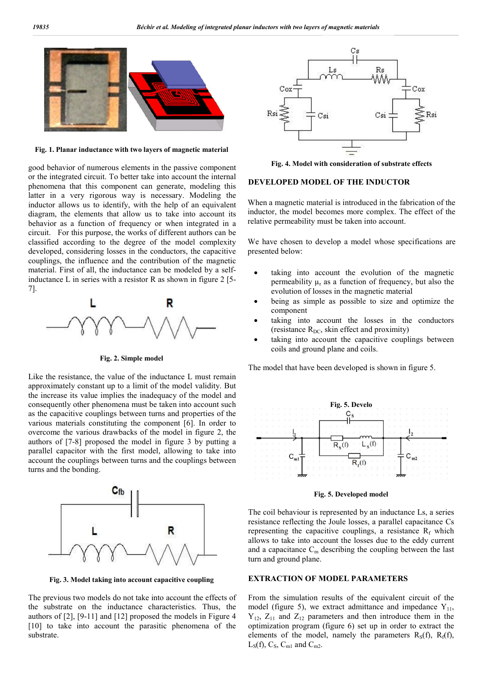

**Fig. 1. Planar inductance with two layers of magnetic material**

good behavior of numerous elements in the passive component or the integrated circuit. To better take into account the internal phenomena that this component can generate, modeling this latter in a very rigorous way is necessary. Modeling the inductor allows us to identify, with the help of an equivalent diagram, the elements that allow us to take into account its behavior as a function of frequency or when integrated in a circuit. For this purpose, the works of different authors can be classified according to the degree of the model complexity developed, considering losses in the conductors, the capacitive couplings, the influence and the contribution of the magnetic material. First of all, the inductance can be modeled by a selfinductance L in series with a resistor R as shown in figure 2 [5- 7].



**Fig. 2. Simple model**

Like the resistance, the value of the inductance L must remain approximately constant up to a limit of the model validity. But the increase its value implies the inadequacy of the model and consequently other phenomena must be taken into account such as the capacitive couplings between turns and properties of the various materials constituting the component [6]. In order to overcome the various drawbacks of the model in figure 2, the authors of [7-8] proposed the model in figure 3 by putting a parallel capacitor with the first model, allowing to take into account the couplings between turns and the couplings between turns and the bonding.



**Fig. 3. Model taking into account capacitive coupling**

The previous two models do not take into account the effects of the substrate on the inductance characteristics. Thus, the authors of [2], [9-11] and [12] proposed the models in Figure 4 [10] to take into account the parasitic phenomena of the substrate.



**Fig. 4. Model with consideration of substrate effects**

#### **DEVELOPED MODEL OF THE INDUCTOR**

When a magnetic material is introduced in the fabrication of the inductor, the model becomes more complex. The effect of the relative permeability must be taken into account.

We have chosen to develop a model whose specifications are presented below:

- taking into account the evolution of the magnetic permeability  $\mu_r$  as a function of frequency, but also the evolution of losses in the magnetic material
- being as simple as possible to size and optimize the component
- taking into account the losses in the conductors (resistance  $R_{DC}$ , skin effect and proximity)
- taking into account the capacitive couplings between coils and ground plane and coils.

The model that have been developed is shown in figure 5.



**Fig. 5. Developed model**

The coil behaviour is represented by an inductance Ls, a series resistance reflecting the Joule losses, a parallel capacitance Cs representing the capacitive couplings, a resistance  $R_f$  which allows to take into account the losses due to the eddy current and a capacitance  $C_m$  describing the coupling between the last turn and ground plane.

#### **EXTRACTION OF MODEL PARAMETERS**

From the simulation results of the equivalent circuit of the model (figure 5), we extract admittance and impedance  $Y_{11}$ ,  $Y_{12}$ ,  $Z_{11}$  and  $Z_{12}$  parameters and then introduce them in the optimization program (figure 6) set up in order to extract the elements of the model, namely the parameters  $R_S(f)$ ,  $R_f(f)$ ,  $L_S(f)$ ,  $C_S$ ,  $C_{m1}$  and  $C_{m2}$ .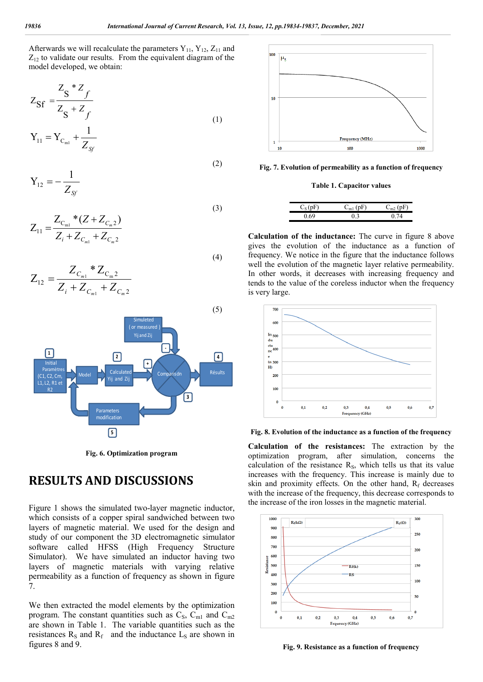(2)

(4)

Afterwards we will recalculate the parameters  $Y_{11}$ ,  $Y_{12}$ ,  $Z_{11}$  and  $Z_{12}$  to validate our results. From the equivalent diagram of the model developed, we obtain:

$$
Z_{\rm Sf} = \frac{Z_{\rm S} * Z_f}{Z_{\rm S} + Z_f}
$$
 (1)

$$
Y_{11} = Y_{C_{m1}} + \frac{1}{Z_{\text{SF}}}
$$

$$
Y_{12} = -\frac{1}{Z_{\text{SF}}}
$$

$$
Z_{11} = \frac{Z_{C_{m1}} * (Z + Z_{C_{m2}})}{Z_i + Z_{C_{m1}} + Z_{C_{m2}}}
$$
\n(3)

$$
Z_{12} = \frac{Z_{C_{m1}} * Z_{C_{m2}}}{Z_i + Z_{C_{m1}} + Z_{C_{m2}}}
$$



**Fig. 6. Optimization program**

### **RESULTS AND DISCUSSIONS**

Figure 1 shows the simulated two-layer magnetic inductor, which consists of a copper spiral sandwiched between two layers of magnetic material. We used for the design and study of our component the 3D electromagnetic simulator software called HFSS (High Frequency Structure Simulator). We have simulated an inductor having two layers of magnetic materials with varying relative permeability as a function of frequency as shown in figure 7.

We then extracted the model elements by the optimization program. The constant quantities such as  $C_S$ ,  $C_{ml}$  and  $C_{m2}$ are shown in Table 1. The variable quantities such as the resistances  $R_s$  and  $R_f$  and the inductance  $L_s$  are shown in figures 8 and 9.



#### **Fig. 7. Evolution of permeability as a function of frequency**

#### **Table 1. Capacitor values**

| C(nF) | $\sqrt{2}$ | $\overline{L}$ |
|-------|------------|----------------|
|       |            |                |

**Calculation of the inductance:** The curve in figure 8 above gives the evolution of the inductance as a function of frequency. We notice in the figure that the inductance follows well the evolution of the magnetic layer relative permeability. In other words, it decreases with increasing frequency and tends to the value of the coreless inductor when the frequency is very large.



**Fig. 8. Evolution of the inductance as a function of the frequency**

**Calculation of the resistances:** The extraction by the optimization program, after simulation, concerns the calculation of the resistance  $R<sub>s</sub>$ , which tells us that its value increases with the frequency. This increase is mainly due to skin and proximity effects. On the other hand,  $R_f$  decreases with the increase of the frequency, this decrease corresponds to the increase of the iron losses in the magnetic material.



**Fig. 9. Resistance as a function of frequency**